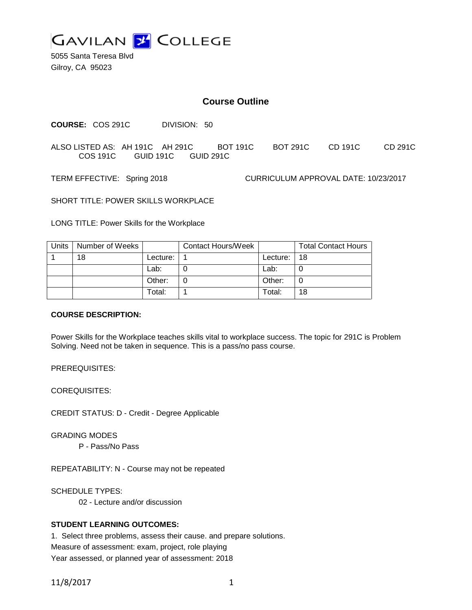

5055 Santa Teresa Blvd Gilroy, CA 95023

# **Course Outline**

**COURSE:** COS 291C DIVISION: 50

ALSO LISTED AS: AH 191C AH 291C BOT 191C BOT 291C CD 191C CD 291C COS 191C GUID 191C GUID 291C

TERM EFFECTIVE: Spring 2018 CURRICULUM APPROVAL DATE: 10/23/2017

SHORT TITLE: POWER SKILLS WORKPLACE

LONG TITLE: Power Skills for the Workplace

| Units | Number of Weeks |          | Contact Hours/Week |          | <b>Total Contact Hours</b> |
|-------|-----------------|----------|--------------------|----------|----------------------------|
|       | 18              | Lecture: |                    | Lecture: | 18                         |
|       |                 | Lab:     |                    | Lab:     |                            |
|       |                 | Other:   |                    | Other:   |                            |
|       |                 | Total:   |                    | Total:   | 18                         |

### **COURSE DESCRIPTION:**

Power Skills for the Workplace teaches skills vital to workplace success. The topic for 291C is Problem Solving. Need not be taken in sequence. This is a pass/no pass course.

PREREQUISITES:

COREQUISITES:

CREDIT STATUS: D - Credit - Degree Applicable

GRADING MODES

P - Pass/No Pass

REPEATABILITY: N - Course may not be repeated

SCHEDULE TYPES:

02 - Lecture and/or discussion

# **STUDENT LEARNING OUTCOMES:**

1. Select three problems, assess their cause. and prepare solutions. Measure of assessment: exam, project, role playing Year assessed, or planned year of assessment: 2018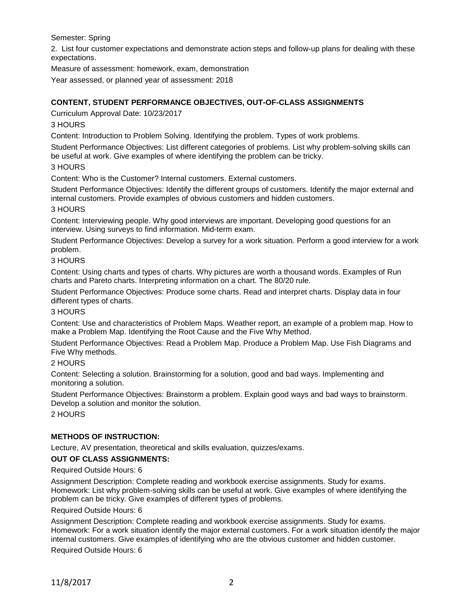Semester: Spring

2. List four customer expectations and demonstrate action steps and follow-up plans for dealing with these expectations.

Measure of assessment: homework, exam, demonstration

Year assessed, or planned year of assessment: 2018

# **CONTENT, STUDENT PERFORMANCE OBJECTIVES, OUT-OF-CLASS ASSIGNMENTS**

Curriculum Approval Date: 10/23/2017

# 3 HOURS

Content: Introduction to Problem Solving. Identifying the problem. Types of work problems.

Student Performance Objectives: List different categories of problems. List why problem-solving skills can be useful at work. Give examples of where identifying the problem can be tricky.

#### 3 HOURS

Content: Who is the Customer? Internal customers. External customers.

Student Performance Objectives: Identify the different groups of customers. Identify the major external and internal customers. Provide examples of obvious customers and hidden customers.

#### 3 HOURS

Content: Interviewing people. Why good interviews are important. Developing good questions for an interview. Using surveys to find information. Mid-term exam.

Student Performance Objectives: Develop a survey for a work situation. Perform a good interview for a work problem.

#### 3 HOURS

Content: Using charts and types of charts. Why pictures are worth a thousand words. Examples of Run charts and Pareto charts. Interpreting information on a chart. The 80/20 rule.

Student Performance Objectives: Produce some charts. Read and interpret charts. Display data in four different types of charts.

#### 3 HOURS

Content: Use and characteristics of Problem Maps. Weather report, an example of a problem map. How to make a Problem Map. Identifying the Root Cause and the Five Why Method.

Student Performance Objectives: Read a Problem Map. Produce a Problem Map. Use Fish Diagrams and Five Why methods.

# 2 HOURS

Content: Selecting a solution. Brainstorming for a solution, good and bad ways. Implementing and monitoring a solution.

Student Performance Objectives: Brainstorm a problem. Explain good ways and bad ways to brainstorm. Develop a solution and monitor the solution.

2 HOURS

# **METHODS OF INSTRUCTION:**

Lecture, AV presentation, theoretical and skills evaluation, quizzes/exams.

# **OUT OF CLASS ASSIGNMENTS:**

Required Outside Hours: 6

Assignment Description: Complete reading and workbook exercise assignments. Study for exams. Homework: List why problem-solving skills can be useful at work. Give examples of where identifying the problem can be tricky. Give examples of different types of problems.

#### Required Outside Hours: 6

Assignment Description: Complete reading and workbook exercise assignments. Study for exams. Homework: For a work situation identify the major external customers. For a work situation identify the major internal customers. Give examples of identifying who are the obvious customer and hidden customer.

Required Outside Hours: 6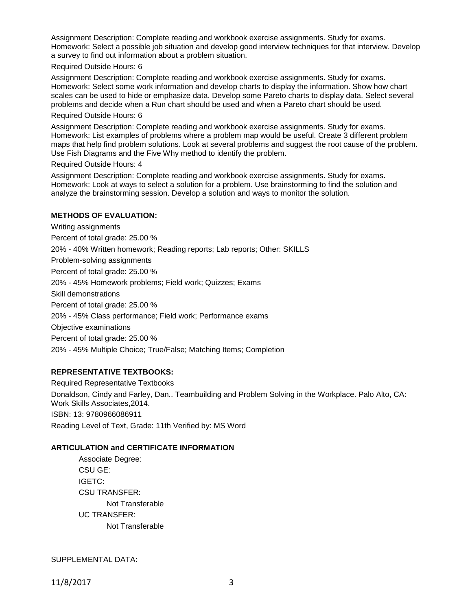Assignment Description: Complete reading and workbook exercise assignments. Study for exams. Homework: Select a possible job situation and develop good interview techniques for that interview. Develop a survey to find out information about a problem situation.

#### Required Outside Hours: 6

Assignment Description: Complete reading and workbook exercise assignments. Study for exams. Homework: Select some work information and develop charts to display the information. Show how chart scales can be used to hide or emphasize data. Develop some Pareto charts to display data. Select several problems and decide when a Run chart should be used and when a Pareto chart should be used.

#### Required Outside Hours: 6

Assignment Description: Complete reading and workbook exercise assignments. Study for exams. Homework: List examples of problems where a problem map would be useful. Create 3 different problem maps that help find problem solutions. Look at several problems and suggest the root cause of the problem. Use Fish Diagrams and the Five Why method to identify the problem.

#### Required Outside Hours: 4

Assignment Description: Complete reading and workbook exercise assignments. Study for exams. Homework: Look at ways to select a solution for a problem. Use brainstorming to find the solution and analyze the brainstorming session. Develop a solution and ways to monitor the solution.

# **METHODS OF EVALUATION:**

Writing assignments Percent of total grade: 25.00 % 20% - 40% Written homework; Reading reports; Lab reports; Other: SKILLS Problem-solving assignments Percent of total grade: 25.00 % 20% - 45% Homework problems; Field work; Quizzes; Exams Skill demonstrations Percent of total grade: 25.00 % 20% - 45% Class performance; Field work; Performance exams Objective examinations Percent of total grade: 25.00 % 20% - 45% Multiple Choice; True/False; Matching Items; Completion

# **REPRESENTATIVE TEXTBOOKS:**

Required Representative Textbooks Donaldson, Cindy and Farley, Dan.. Teambuilding and Problem Solving in the Workplace. Palo Alto, CA: Work Skills Associates,2014. ISBN: 13: 9780966086911 Reading Level of Text, Grade: 11th Verified by: MS Word

# **ARTICULATION and CERTIFICATE INFORMATION**

Associate Degree: CSU GE: IGETC: CSU TRANSFER: Not Transferable UC TRANSFER: Not Transferable

SUPPLEMENTAL DATA: